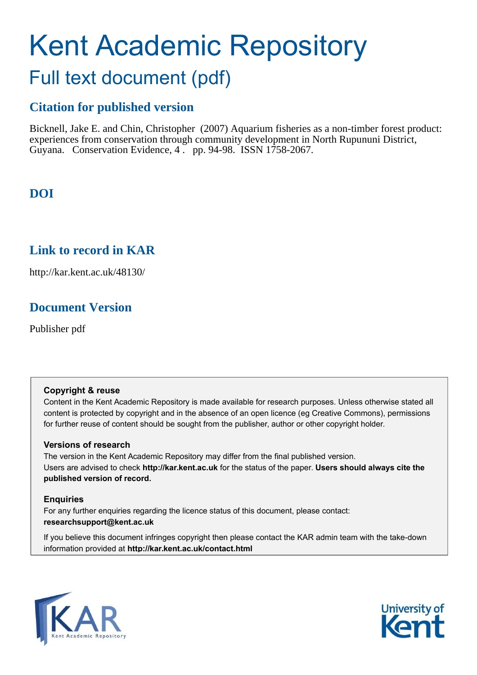# Kent Academic Repository

# Full text document (pdf)

## **Citation for published version**

Bicknell, Jake E. and Chin, Christopher (2007) Aquarium fisheries as a non-timber forest product: experiences from conservation through community development in North Rupununi District, Guyana. Conservation Evidence, 4 . pp. 94-98. ISSN 1758-2067.

# **DOI**

### **Link to record in KAR**

http://kar.kent.ac.uk/48130/

### **Document Version**

Publisher pdf

### **Copyright & reuse**

Content in the Kent Academic Repository is made available for research purposes. Unless otherwise stated all content is protected by copyright and in the absence of an open licence (eg Creative Commons), permissions for further reuse of content should be sought from the publisher, author or other copyright holder.

### **Versions of research**

The version in the Kent Academic Repository may differ from the final published version. Users are advised to check **http://kar.kent.ac.uk** for the status of the paper. **Users should always cite the published version of record.**

### **Enquiries**

For any further enquiries regarding the licence status of this document, please contact: **researchsupport@kent.ac.uk**

If you believe this document infringes copyright then please contact the KAR admin team with the take-down information provided at **http://kar.kent.ac.uk/contact.html**



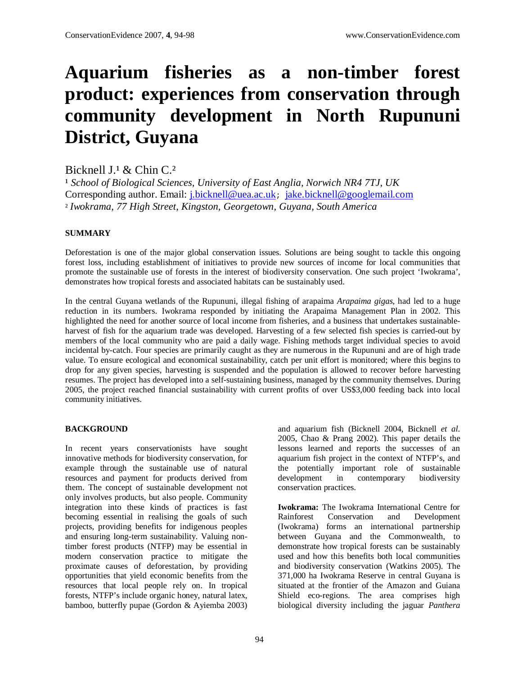# **Aquarium fisheries as a non-timber forest product: experiences from conservation through community development in North Rupununi District, Guyana**

Bicknell  $I<sup>1</sup>$  & Chin C.<sup>2</sup>

<sup>1</sup> School of Biological Sciences, University of East Anglia, Norwich NR4 7TJ, UK Corresponding author. Email: j.bicknell@uea.ac.uk; jake.bicknell@googlemail.com ² *Iwokrama, 77 High Street, Kingston, Georgetown, Guyana, South America*

### **SUMMARY**

Deforestation is one of the major global conservation issues. Solutions are being sought to tackle this ongoing forest loss, including establishment of initiatives to provide new sources of income for local communities that promote the sustainable use of forests in the interest of biodiversity conservation. One such project 'Iwokrama', demonstrates how tropical forests and associated habitats can be sustainably used.

In the central Guyana wetlands of the Rupununi, illegal fishing of arapaima *Arapaima gigas*, had led to a huge reduction in its numbers. Iwokrama responded by initiating the Arapaima Management Plan in 2002. This highlighted the need for another source of local income from fisheries, and a business that undertakes sustainableharvest of fish for the aquarium trade was developed. Harvesting of a few selected fish species is carried-out by members of the local community who are paid a daily wage. Fishing methods target individual species to avoid incidental by-catch. Four species are primarily caught as they are numerous in the Rupununi and are of high trade value. To ensure ecological and economical sustainability, catch per unit effort is monitored; where this begins to drop for any given species, harvesting is suspended and the population is allowed to recover before harvesting resumes. The project has developed into a self-sustaining business, managed by the community themselves. During 2005, the project reached financial sustainability with current profits of over US\$3,000 feeding back into local community initiatives.

### **BACKGROUND**

In recent years conservationists have sought innovative methods for biodiversity conservation, for example through the sustainable use of natural resources and payment for products derived from them. The concept of sustainable development not only involves products, but also people. Community integration into these kinds of practices is fast becoming essential in realising the goals of such projects, providing benefits for indigenous peoples and ensuring long-term sustainability. Valuing nontimber forest products (NTFP) may be essential in modern conservation practice to mitigate the proximate causes of deforestation, by providing opportunities that yield economic benefits from the resources that local people rely on. In tropical forests, NTFP's include organic honey, natural latex, bamboo, butterfly pupae (Gordon & Ayiemba 2003)

and aquarium fish (Bicknell 2004, Bicknell *et al*. 2005, Chao & Prang 2002). This paper details the lessons learned and reports the successes of an aquarium fish project in the context of NTFP's, and the potentially important role of sustainable development in contemporary biodiversity conservation practices.

**Iwokrama:** The Iwokrama International Centre for Rainforest Conservation and Development (Iwokrama) forms an international partnership between Guyana and the Commonwealth, to demonstrate how tropical forests can be sustainably used and how this benefits both local communities and biodiversity conservation (Watkins 2005). The 371,000 ha Iwokrama Reserve in central Guyana is situated at the frontier of the Amazon and Guiana Shield eco-regions. The area comprises high biological diversity including the jaguar *Panthera*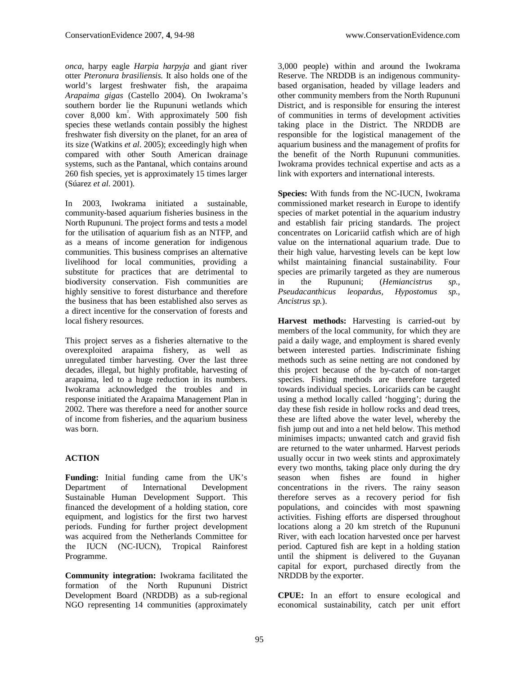*onca*, harpy eagle *Harpia harpyja* and giant river otter *Pteronura brasiliensis.* It also holds one of the world's largest freshwater fish, the arapaima *Arapaima gigas* (Castello 2004). On Iwokrama's southern border lie the Rupununi wetlands which cover 8,000 km<sup>²</sup> . With approximately 500 fish species these wetlands contain possibly the highest freshwater fish diversity on the planet, for an area of its size (Watkins *et al*. 2005); exceedingly high when compared with other South American drainage systems, such as the Pantanal, which contains around 260 fish species, yet is approximately 15 times larger (Súarez *et al*. 2001).

In 2003, Iwokrama initiated a sustainable, community-based aquarium fisheries business in the North Rupununi. The project forms and tests a model for the utilisation of aquarium fish as an NTFP, and as a means of income generation for indigenous communities. This business comprises an alternative livelihood for local communities, providing a substitute for practices that are detrimental to biodiversity conservation. Fish communities are highly sensitive to forest disturbance and therefore the business that has been established also serves as a direct incentive for the conservation of forests and local fishery resources.

This project serves as a fisheries alternative to the overexploited arapaima fishery, as well as unregulated timber harvesting. Over the last three decades, illegal, but highly profitable, harvesting of arapaima, led to a huge reduction in its numbers. Iwokrama acknowledged the troubles and in response initiated the Arapaima Management Plan in 2002. There was therefore a need for another source of income from fisheries, and the aquarium business was born.

### **ACTION**

**Funding:** Initial funding came from the UK's Department of International Development Sustainable Human Development Support. This financed the development of a holding station, core equipment, and logistics for the first two harvest periods. Funding for further project development was acquired from the Netherlands Committee for the IUCN (NC-IUCN), Tropical Rainforest Programme.

**Community integration:** Iwokrama facilitated the formation of the North Rupununi District Development Board (NRDDB) as a sub-regional NGO representing 14 communities (approximately

3,000 people) within and around the Iwokrama Reserve. The NRDDB is an indigenous communitybased organisation, headed by village leaders and other community members from the North Rupununi District, and is responsible for ensuring the interest of communities in terms of development activities taking place in the District. The NRDDB are responsible for the logistical management of the aquarium business and the management of profits for the benefit of the North Rupununi communities. Iwokrama provides technical expertise and acts as a link with exporters and international interests.

**Species:** With funds from the NC-IUCN, Iwokrama commissioned market research in Europe to identify species of market potential in the aquarium industry and establish fair pricing standards. The project concentrates on Loricariid catfish which are of high value on the international aquarium trade. Due to their high value, harvesting levels can be kept low whilst maintaining financial sustainability. Four species are primarily targeted as they are numerous in the Rupununi; (*Hemiancistrus sp., Pseudacanthicus leopardus, Hypostomus sp., Ancistrus sp.*).

**Harvest methods:** Harvesting is carried-out by members of the local community, for which they are paid a daily wage, and employment is shared evenly between interested parties. Indiscriminate fishing methods such as seine netting are not condoned by this project because of the by-catch of non-target species. Fishing methods are therefore targeted towards individual species. Loricariids can be caught using a method locally called 'hogging'; during the day these fish reside in hollow rocks and dead trees, these are lifted above the water level, whereby the fish jump out and into a net held below. This method minimises impacts; unwanted catch and gravid fish are returned to the water unharmed. Harvest periods usually occur in two week stints and approximately every two months, taking place only during the dry season when fishes are found in higher concentrations in the rivers. The rainy season therefore serves as a recovery period for fish populations, and coincides with most spawning activities. Fishing efforts are dispersed throughout locations along a 20 km stretch of the Rupununi River, with each location harvested once per harvest period. Captured fish are kept in a holding station until the shipment is delivered to the Guyanan capital for export, purchased directly from the NRDDB by the exporter.

**CPUE:** In an effort to ensure ecological and economical sustainability, catch per unit effort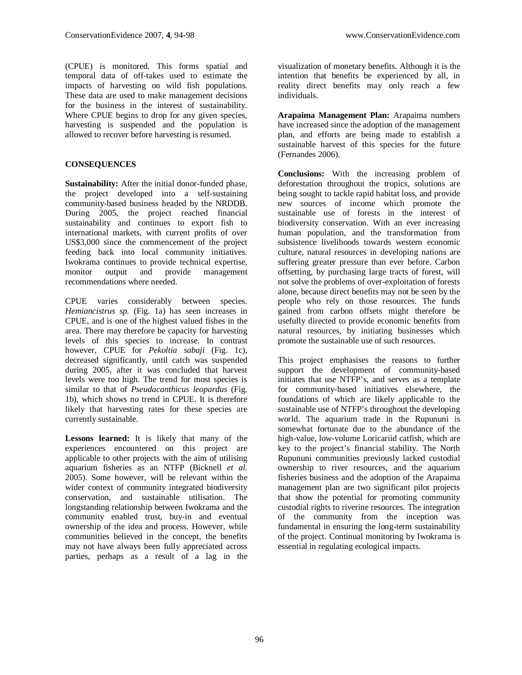(CPUE) is monitored. This forms spatial and temporal data of off-takes used to estimate the impacts of harvesting on wild fish populations. These data are used to make management decisions for the business in the interest of sustainability. Where CPUE begins to drop for any given species, harvesting is suspended and the population is allowed to recover before harvesting is resumed.

### **CONSEQUENCES**

**Sustainability:** After the initial donor-funded phase, the project developed into a self-sustaining community-based business headed by the NRDDB. During 2005, the project reached financial sustainability and continues to export fish to international markets, with current profits of over US\$3,000 since the commencement of the project feeding back into local community initiatives. Iwokrama continues to provide technical expertise, monitor output and provide management recommendations where needed.

CPUE varies considerably between species. *Hemiancistrus sp.* (Fig. 1a) has seen increases in CPUE, and is one of the highest valued fishes in the area. There may therefore be capacity for harvesting levels of this species to increase. In contrast however, CPUE for *Pekoltia sabaji* (Fig. 1c), decreased significantly, until catch was suspended during 2005, after it was concluded that harvest levels were too high. The trend for most species is similar to that of *Pseudacanthicus leopardus* (Fig. 1b), which shows no trend in CPUE. It is therefore likely that harvesting rates for these species are currently sustainable.

**Lessons learned:** It is likely that many of the experiences encountered on this project are applicable to other projects with the aim of utilising aquarium fisheries as an NTFP (Bicknell *et al*. 2005). Some however, will be relevant within the wider context of community integrated biodiversity conservation, and sustainable utilisation. The longstanding relationship between Iwokrama and the community enabled trust, buy-in and eventual ownership of the idea and process. However, while communities believed in the concept, the benefits may not have always been fully appreciated across parties, perhaps as a result of a lag in the

visualization of monetary benefits. Although it is the intention that benefits be experienced by all, in reality direct benefits may only reach a few individuals.

**Arapaima Management Plan:** Arapaima numbers have increased since the adoption of the management plan, and efforts are being made to establish a sustainable harvest of this species for the future (Fernandes 2006).

**Conclusions:** With the increasing problem of deforestation throughout the tropics, solutions are being sought to tackle rapid habitat loss, and provide new sources of income which promote the sustainable use of forests in the interest of biodiversity conservation. With an ever increasing human population, and the transformation from subsistence livelihoods towards western economic culture, natural resources in developing nations are suffering greater pressure than ever before. Carbon offsetting, by purchasing large tracts of forest, will not solve the problems of over-exploitation of forests alone, because direct benefits may not be seen by the people who rely on those resources. The funds gained from carbon offsets might therefore be usefully directed to provide economic benefits from natural resources, by initiating businesses which promote the sustainable use of such resources.

This project emphasises the reasons to further support the development of community-based initiates that use NTFP's, and serves as a template for community-based initiatives elsewhere, the foundations of which are likely applicable to the sustainable use of NTFP's throughout the developing world. The aquarium trade in the Rupununi is somewhat fortunate due to the abundance of the high-value, low-volume Loricariid catfish, which are key to the project's financial stability. The North Rupununi communities previously lacked custodial ownership to river resources, and the aquarium fisheries business and the adoption of the Arapaima management plan are two significant pilot projects that show the potential for promoting community custodial rights to riverine resources. The integration of the community from the inception was fundamental in ensuring the long-term sustainability of the project. Continual monitoring by Iwokrama is essential in regulating ecological impacts.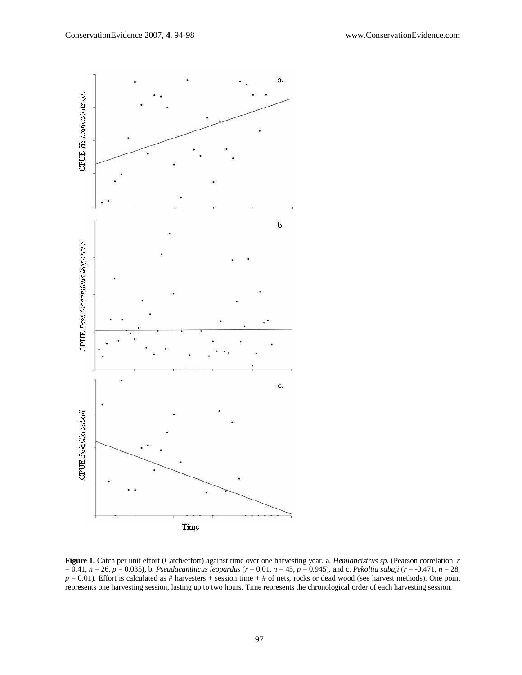

**Figure 1.** Catch per unit effort (Catch/effort) against time over one harvesting year. a. *Hemiancistrus sp.* (Pearson correlation: *r* = 0.41, *n* = 26, *p* = 0.035)*,* b. *Pseudacanthicus leopardus* (*r* = 0.01, *n* = 45, *p* = 0.945)*,* and c. *Pekoltia sabaji* (*r* = -0.471, *n* = 28,  $p = 0.01$ ). Effort is calculated as # harvesters + session time + # of nets, rocks or dead wood (see harvest methods). One point represents one harvesting session, lasting up to two hours. Time represents the chronological order of each harvesting session.